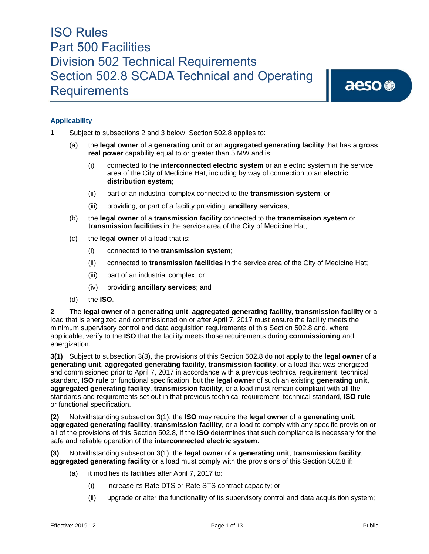aeso<sup>®</sup>

### **Applicability**

- **1** Subject to subsections 2 and 3 below, Section 502.8 applies to:
	- (a) the **legal owner** of a **generating unit** or an **aggregated generating facility** that has a **gross real power** capability equal to or greater than 5 MW and is:
		- (i) connected to the **interconnected electric system** or an electric system in the service area of the City of Medicine Hat, including by way of connection to an **electric distribution system**;
		- (ii) part of an industrial complex connected to the **transmission system**; or
		- (iii) providing, or part of a facility providing, **ancillary services**;
	- (b) the **legal owner** of a **transmission facility** connected to the **transmission system** or **transmission facilities** in the service area of the City of Medicine Hat;
	- (c) the **legal owner** of a load that is:
		- (i) connected to the **transmission system**;
		- (ii) connected to **transmission facilities** in the service area of the City of Medicine Hat;
		- (iii) part of an industrial complex; or
		- (iv) providing **ancillary services**; and
	- (d) the **ISO**.

**2** The **legal owner** of a **generating unit**, **aggregated generating facility**, **transmission facility** or a load that is energized and commissioned on or after April 7, 2017 must ensure the facility meets the minimum supervisory control and data acquisition requirements of this Section 502.8 and, where applicable, verify to the **ISO** that the facility meets those requirements during **commissioning** and energization.

**3(1)** Subject to subsection 3(3), the provisions of this Section 502.8 do not apply to the **legal owner** of a **generating unit**, **aggregated generating facility**, **transmission facility**, or a load that was energized and commissioned prior to April 7, 2017 in accordance with a previous technical requirement, technical standard, **ISO rule** or functional specification, but the **legal owner** of such an existing **generating unit**, **aggregated generating facility**, **transmission facility**, or a load must remain compliant with all the standards and requirements set out in that previous technical requirement, technical standard, **ISO rule** or functional specification.

**(2)** Notwithstanding subsection 3(1), the **ISO** may require the **legal owner** of a **generating unit**, **aggregated generating facility**, **transmission facility**, or a load to comply with any specific provision or all of the provisions of this Section 502.8, if the **ISO** determines that such compliance is necessary for the safe and reliable operation of the **interconnected electric system**.

**(3)** Notwithstanding subsection 3(1), the **legal owner** of a **generating unit**, **transmission facility**, **aggregated generating facility** or a load must comply with the provisions of this Section 502.8 if:

- (a) it modifies its facilities after April 7, 2017 to:
	- (i) increase its Rate DTS or Rate STS contract capacity; or
	- (ii) upgrade or alter the functionality of its supervisory control and data acquisition system;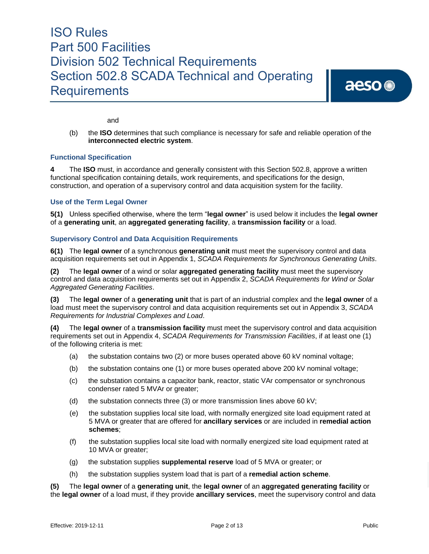aeso<sup>®</sup>

and

(b) the **ISO** determines that such compliance is necessary for safe and reliable operation of the **interconnected electric system**.

#### **Functional Specification**

**4** The **ISO** must, in accordance and generally consistent with this Section 502.8, approve a written functional specification containing details, work requirements, and specifications for the design, construction, and operation of a supervisory control and data acquisition system for the facility.

#### **Use of the Term Legal Owner**

**5(1)** Unless specified otherwise, where the term "**legal owner**" is used below it includes the **legal owner**  of a **generating unit**, an **aggregated generating facility**, a **transmission facility** or a load.

#### **Supervisory Control and Data Acquisition Requirements**

**6(1)** The **legal owner** of a synchronous **generating unit** must meet the supervisory control and data acquisition requirements set out in Appendix 1, *SCADA Requirements for Synchronous Generating Units*.

**(2)** The **legal owner** of a wind or solar **aggregated generating facility** must meet the supervisory control and data acquisition requirements set out in Appendix 2, *SCADA Requirements for Wind or Solar Aggregated Generating Facilities*.

**(3)** The **legal owner** of a **generating unit** that is part of an industrial complex and the **legal owner** of a load must meet the supervisory control and data acquisition requirements set out in Appendix 3, *SCADA Requirements for Industrial Complexes and Load*.

**(4)** The **legal owner** of a **transmission facility** must meet the supervisory control and data acquisition requirements set out in Appendix 4, *SCADA Requirements for Transmission Facilities*, if at least one (1) of the following criteria is met:

- (a) the substation contains two (2) or more buses operated above 60 kV nominal voltage;
- (b) the substation contains one (1) or more buses operated above 200 kV nominal voltage;
- (c) the substation contains a capacitor bank, reactor, static VAr compensator or synchronous condenser rated 5 MVAr or greater;
- (d) the substation connects three (3) or more transmission lines above 60 kV;
- (e) the substation supplies local site load, with normally energized site load equipment rated at 5 MVA or greater that are offered for **ancillary services** or are included in **remedial action schemes**;
- (f) the substation supplies local site load with normally energized site load equipment rated at 10 MVA or greater;
- (g) the substation supplies **supplemental reserve** load of 5 MVA or greater; or
- (h) the substation supplies system load that is part of a **remedial action scheme**.

**(5)** The **legal owner** of a **generating unit**, the **legal owner** of an **aggregated generating facility** or the **legal owner** of a load must, if they provide **ancillary services**, meet the supervisory control and data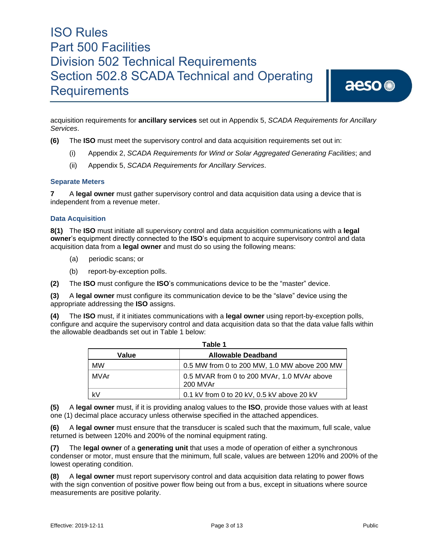acquisition requirements for **ancillary services** set out in Appendix 5, *SCADA Requirements for Ancillary Services*.

**(6)** The **ISO** must meet the supervisory control and data acquisition requirements set out in:

- (i) Appendix 2, *SCADA Requirements for Wind or Solar Aggregated Generating Facilities*; and
- (ii) Appendix 5, *SCADA Requirements for Ancillary Services*.

#### **Separate Meters**

**7** A **legal owner** must gather supervisory control and data acquisition data using a device that is independent from a revenue meter.

#### **Data Acquisition**

**8(1)** The **ISO** must initiate all supervisory control and data acquisition communications with a **legal owner**'s equipment directly connected to the **ISO**'s equipment to acquire supervisory control and data acquisition data from a **legal owner** and must do so using the following means:

- (a) periodic scans; or
- (b) report-by-exception polls.

**(2)** The **ISO** must configure the **ISO**'s communications device to be the "master" device.

**(3)** A **legal owner** must configure its communication device to be the "slave" device using the appropriate addressing the **ISO** assigns.

**(4)** The **ISO** must, if it initiates communications with a **legal owner** using report-by-exception polls, configure and acquire the supervisory control and data acquisition data so that the data value falls within the allowable deadbands set out in Table 1 below:

| Table 1   |                                                         |  |  |  |  |  |  |  |  |  |
|-----------|---------------------------------------------------------|--|--|--|--|--|--|--|--|--|
| Value     | <b>Allowable Deadband</b>                               |  |  |  |  |  |  |  |  |  |
| <b>MW</b> | 0.5 MW from 0 to 200 MW, 1.0 MW above 200 MW            |  |  |  |  |  |  |  |  |  |
| MVAr      | 0.5 MVAR from 0 to 200 MVAr, 1.0 MVAr above<br>200 MVAr |  |  |  |  |  |  |  |  |  |
| kV        | 0.1 kV from 0 to 20 kV, 0.5 kV above 20 kV              |  |  |  |  |  |  |  |  |  |

**(5)** A **legal owner** must, if it is providing analog values to the **ISO**, provide those values with at least one (1) decimal place accuracy unless otherwise specified in the attached appendices.

**(6)** A **legal owner** must ensure that the transducer is scaled such that the maximum, full scale, value returned is between 120% and 200% of the nominal equipment rating.

**(7)** The **legal owner** of a **generating unit** that uses a mode of operation of either a synchronous condenser or motor, must ensure that the minimum, full scale, values are between 120% and 200% of the lowest operating condition.

**(8)** A **legal owner** must report supervisory control and data acquisition data relating to power flows with the sign convention of positive power flow being out from a bus, except in situations where source measurements are positive polarity.

aeso<sup>®</sup>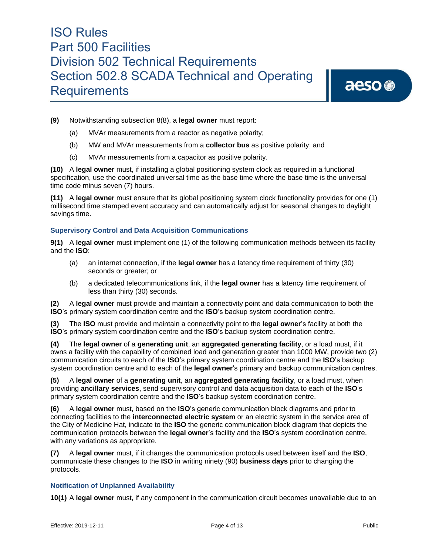aeso<sup>®</sup>

- **(9)** Notwithstanding subsection 8(8), a **legal owner** must report:
	- (a) MVAr measurements from a reactor as negative polarity;
	- (b) MW and MVAr measurements from a **collector bus** as positive polarity; and
	- (c) MVAr measurements from a capacitor as positive polarity.

**(10)** A **legal owner** must, if installing a global positioning system clock as required in a functional specification, use the coordinated universal time as the base time where the base time is the universal time code minus seven (7) hours.

**(11)** A **legal owner** must ensure that its global positioning system clock functionality provides for one (1) millisecond time stamped event accuracy and can automatically adjust for seasonal changes to daylight savings time.

#### **Supervisory Control and Data Acquisition Communications**

**9(1)** A **legal owner** must implement one (1) of the following communication methods between its facility and the **ISO**:

- (a) an internet connection, if the **legal owner** has a latency time requirement of thirty (30) seconds or greater; or
- (b) a dedicated telecommunications link, if the **legal owner** has a latency time requirement of less than thirty (30) seconds.

**(2)** A **legal owner** must provide and maintain a connectivity point and data communication to both the **ISO**'s primary system coordination centre and the **ISO**'s backup system coordination centre.

**(3)** The **ISO** must provide and maintain a connectivity point to the **legal owner**'s facility at both the **ISO**'s primary system coordination centre and the **ISO**'s backup system coordination centre.

**(4)** The **legal owner** of a **generating unit**, an **aggregated generating facility**, or a load must, if it owns a facility with the capability of combined load and generation greater than 1000 MW, provide two (2) communication circuits to each of the **ISO**'s primary system coordination centre and the **ISO**'s backup system coordination centre and to each of the **legal owner**'s primary and backup communication centres.

**(5)** A **legal owner** of a **generating unit**, an **aggregated generating facility**, or a load must, when providing **ancillary services**, send supervisory control and data acquisition data to each of the **ISO**'s primary system coordination centre and the **ISO**'s backup system coordination centre.

**(6)** A **legal owner** must, based on the **ISO**'s generic communication block diagrams and prior to connecting facilities to the **interconnected electric system** or an electric system in the service area of the City of Medicine Hat, indicate to the **ISO** the generic communication block diagram that depicts the communication protocols between the **legal owner**'s facility and the **ISO**'s system coordination centre, with any variations as appropriate.

**(7)** A **legal owner** must, if it changes the communication protocols used between itself and the **ISO**, communicate these changes to the **ISO** in writing ninety (90) **business days** prior to changing the protocols.

#### **Notification of Unplanned Availability**

**10(1)** A **legal owner** must, if any component in the communication circuit becomes unavailable due to an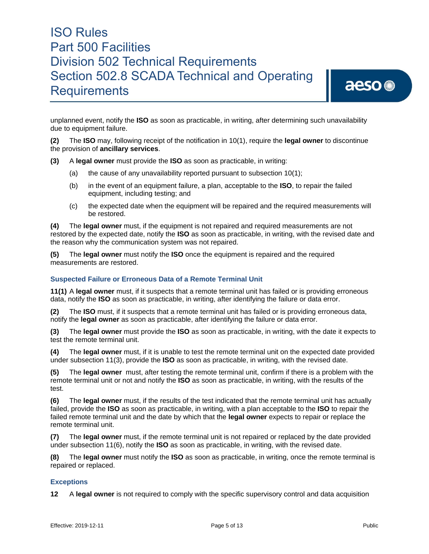

unplanned event, notify the **ISO** as soon as practicable, in writing, after determining such unavailability due to equipment failure.

**(2)** The **ISO** may, following receipt of the notification in 10(1), require the **legal owner** to discontinue the provision of **ancillary services**.

**(3)** A **legal owner** must provide the **ISO** as soon as practicable, in writing:

- (a) the cause of any unavailability reported pursuant to subsection 10(1);
- (b) in the event of an equipment failure, a plan, acceptable to the **ISO**, to repair the failed equipment, including testing; and
- (c) the expected date when the equipment will be repaired and the required measurements will be restored.

**(4)** The **legal owner** must, if the equipment is not repaired and required measurements are not restored by the expected date, notify the **ISO** as soon as practicable, in writing, with the revised date and the reason why the communication system was not repaired.

**(5)** The **legal owner** must notify the **ISO** once the equipment is repaired and the required measurements are restored.

#### **Suspected Failure or Erroneous Data of a Remote Terminal Unit**

**11(1)** A **legal owner** must, if it suspects that a remote terminal unit has failed or is providing erroneous data, notify the **ISO** as soon as practicable, in writing, after identifying the failure or data error.

**(2)** The **ISO** must, if it suspects that a remote terminal unit has failed or is providing erroneous data, notify the **legal owner** as soon as practicable, after identifying the failure or data error.

**(3)** The **legal owner** must provide the **ISO** as soon as practicable, in writing, with the date it expects to test the remote terminal unit.

**(4)** The **legal owner** must, if it is unable to test the remote terminal unit on the expected date provided under subsection 11(3), provide the **ISO** as soon as practicable, in writing, with the revised date.

**(5)** The **legal owner** must, after testing the remote terminal unit, confirm if there is a problem with the remote terminal unit or not and notify the **ISO** as soon as practicable, in writing, with the results of the test.

**(6)** The **legal owner** must, if the results of the test indicated that the remote terminal unit has actually failed, provide the **ISO** as soon as practicable, in writing, with a plan acceptable to the **ISO** to repair the failed remote terminal unit and the date by which that the **legal owner** expects to repair or replace the remote terminal unit.

**(7)** The **legal owner** must, if the remote terminal unit is not repaired or replaced by the date provided under subsection 11(6), notify the **ISO** as soon as practicable, in writing, with the revised date.

**(8)** The **legal owner** must notify the **ISO** as soon as practicable, in writing, once the remote terminal is repaired or replaced.

#### **Exceptions**

**12** A **legal owner** is not required to comply with the specific supervisory control and data acquisition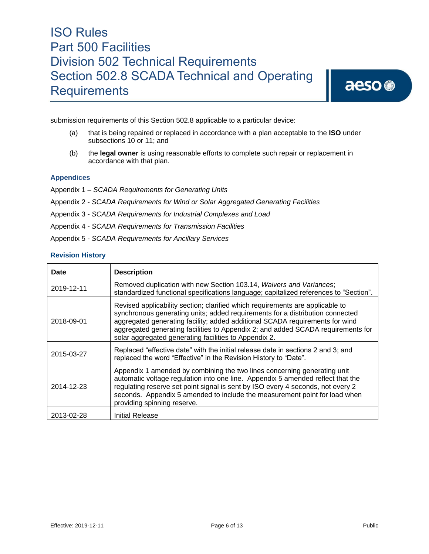

submission requirements of this Section 502.8 applicable to a particular device:

- (a) that is being repaired or replaced in accordance with a plan acceptable to the **ISO** under subsections 10 or 11; and
- (b) the **legal owner** is using reasonable efforts to complete such repair or replacement in accordance with that plan.

#### **Appendices**

- Appendix 1 *SCADA Requirements for Generating Units*
- Appendix 2 *SCADA Requirements for Wind or Solar Aggregated Generating Facilities*
- Appendix 3 *SCADA Requirements for Industrial Complexes and Load*
- Appendix 4 *SCADA Requirements for Transmission Facilities*
- Appendix 5 *SCADA Requirements for Ancillary Services*

#### **Revision History**

| Date       | <b>Description</b>                                                                                                                                                                                                                                                                                                                                                                          |
|------------|---------------------------------------------------------------------------------------------------------------------------------------------------------------------------------------------------------------------------------------------------------------------------------------------------------------------------------------------------------------------------------------------|
| 2019-12-11 | Removed duplication with new Section 103.14, Waivers and Variances;<br>standardized functional specifications language; capitalized references to "Section".                                                                                                                                                                                                                                |
| 2018-09-01 | Revised applicability section; clarified which requirements are applicable to<br>synchronous generating units; added requirements for a distribution connected<br>aggregated generating facility; added additional SCADA requirements for wind<br>aggregated generating facilities to Appendix 2; and added SCADA requirements for<br>solar aggregated generating facilities to Appendix 2. |
| 2015-03-27 | Replaced "effective date" with the initial release date in sections 2 and 3; and<br>replaced the word "Effective" in the Revision History to "Date".                                                                                                                                                                                                                                        |
| 2014-12-23 | Appendix 1 amended by combining the two lines concerning generating unit<br>automatic voltage regulation into one line. Appendix 5 amended reflect that the<br>regulating reserve set point signal is sent by ISO every 4 seconds, not every 2<br>seconds. Appendix 5 amended to include the measurement point for load when<br>providing spinning reserve.                                 |
| 2013-02-28 | Initial Release                                                                                                                                                                                                                                                                                                                                                                             |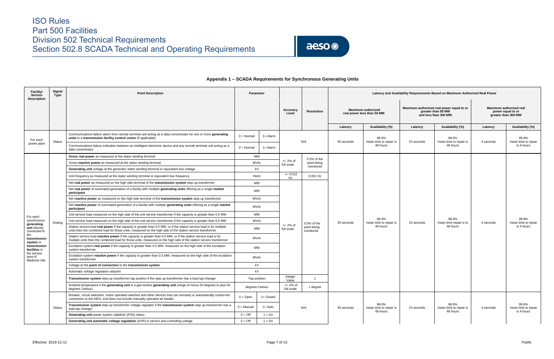

### **Appendix 1 – SCADA Requirements for Synchronous Generating Units**

| Facility/<br>Service<br><b>Description</b>   | Signal<br>Type | <b>Point Description</b>                                                                                                                                                                                                                 |                   | Parameter        |                           |                                           | Latency and Availability Requirements Based on Maximum Authorized Real Power |                                                         |                                                                                         |                                             |           |                                                                            |  |
|----------------------------------------------|----------------|------------------------------------------------------------------------------------------------------------------------------------------------------------------------------------------------------------------------------------------|-------------------|------------------|---------------------------|-------------------------------------------|------------------------------------------------------------------------------|---------------------------------------------------------|-----------------------------------------------------------------------------------------|---------------------------------------------|-----------|----------------------------------------------------------------------------|--|
|                                              |                |                                                                                                                                                                                                                                          |                   |                  | Accuracy<br>Level         | Resolution                                |                                                                              | <b>Maximum authorized</b><br>real power less than 50 MW | Maximum authorized real power equal to or<br>greater than 50 MW<br>and less than 300 MW |                                             |           | <b>Maximum authorized real</b><br>power equal to or<br>greater than 300 MW |  |
|                                              |                |                                                                                                                                                                                                                                          |                   |                  |                           |                                           | Latency                                                                      | Availability (%)                                        | Latency                                                                                 | Availability (%)                            | Latency   | Availability (%)                                                           |  |
| For each                                     | Status         | Communications failure alarm from remote terminal unit acting as a data concentrator for one or more generating<br>units to a transmission facility control centre (if applicable)                                                       | $0 = Normal$      | $1 =$ Alarm      |                           | N/A                                       | 30 seconds                                                                   | 98.0%<br>mean time to repair is                         | 15 seconds                                                                              | 98.0%<br>mean time to repair is<br>48 hours | 4 seconds | 99.8%<br>mean time to repair                                               |  |
| power plant                                  |                | Communications failure indication between an intelligent electronic device and any remote terminal unit acting as a<br>data concentrator                                                                                                 | $0 = Normal$      | 1= Alarm         |                           |                                           |                                                                              | 48 hours                                                |                                                                                         |                                             |           | is 4 hours                                                                 |  |
|                                              |                | Gross real power as measured at the stator winding terminal                                                                                                                                                                              |                   | MW               |                           | 0.5% of the                               |                                                                              |                                                         |                                                                                         |                                             |           |                                                                            |  |
|                                              |                | Gross reactive power as measured at the stator winding terminal                                                                                                                                                                          | MVAr              |                  | $+/- 2%$ of<br>full scale | point being                               |                                                                              |                                                         |                                                                                         |                                             |           |                                                                            |  |
|                                              |                | Generating unit voltage at the generator stator winding terminal or equivalent bus voltage                                                                                                                                               |                   | kV               |                           | monitored                                 |                                                                              |                                                         |                                                                                         |                                             |           |                                                                            |  |
|                                              |                | Unit frequency as measured at the stator winding terminal or equivalent bus frequency                                                                                                                                                    |                   | Hertz            | $+/- 0.012$<br>Hz         | 0.001 Hz                                  |                                                                              |                                                         |                                                                                         |                                             |           |                                                                            |  |
|                                              |                | Net real power as measured on the high side terminal of the transmission system step up transformer                                                                                                                                      |                   | MW               |                           |                                           |                                                                              |                                                         |                                                                                         |                                             |           |                                                                            |  |
|                                              |                | Net real power of summated generation of a facility with multiple generating units offering as a single market<br>participant                                                                                                            |                   | MW               |                           |                                           |                                                                              |                                                         |                                                                                         |                                             |           |                                                                            |  |
|                                              |                | Net reactive power as measured on the high side terminal of the transmission system step up transformer                                                                                                                                  | MVAr              |                  |                           |                                           |                                                                              |                                                         |                                                                                         |                                             |           |                                                                            |  |
|                                              |                | Net reactive power of summated generation of a facility with multiple generating units offering as a single market<br>participant                                                                                                        | MVAr              |                  |                           |                                           |                                                                              |                                                         |                                                                                         |                                             |           |                                                                            |  |
| For each                                     |                | Unit service load measured on the high side of the unit service transformer if the capacity is greater than 0.5 MW                                                                                                                       | MW<br>MVAr        |                  | $+/- 2%$ of               |                                           | 30 seconds                                                                   |                                                         |                                                                                         |                                             |           |                                                                            |  |
| synchronous<br>generating                    | Analog         | Unit service load measured on the high side of the unit service transformer if the capacity is greater than 0.5 MW                                                                                                                       |                   |                  |                           | $0.5%$ of the<br>point being<br>monitored |                                                                              | 98.0%<br>mean time to repair is<br>48 hours             | 15 seconds                                                                              | 98.0%<br>mean time repair is to<br>48 hours | 4 seconds | 99.8%<br>mean time to repair                                               |  |
| unit directly<br>connected to                |                | Station service load real power if the capacity is greater than 0.5 MW, or if the station service load is for multiple<br>units then the combined load for those units, measured on the high side of the station service transformer     |                   | MW<br>full scale |                           |                                           |                                                                              |                                                         |                                                                                         |                                             |           | is 4 hours                                                                 |  |
| the<br>transmission<br>system or             |                | Station service load reactive power if the capacity is greater than 0.5 MW, or if the station service load is for<br>multiple units then the combined load for those units, measured on the high side of the station service transformer |                   | MVAr             |                           |                                           |                                                                              |                                                         |                                                                                         |                                             |           |                                                                            |  |
| transmission<br>facilities in<br>the service |                | Excitation system real power if the capacity is greater than 0.5 MW, measured on the high side of the excitation<br>system transformer                                                                                                   |                   | MW               |                           |                                           |                                                                              |                                                         |                                                                                         |                                             |           |                                                                            |  |
| area of<br>Medicine Hat.                     |                | Excitation system reactive power if the capacity is greater than 0.5 MW, measured on the high side of the excitation<br>system transformer                                                                                               |                   | MVAr             |                           |                                           |                                                                              |                                                         |                                                                                         |                                             |           |                                                                            |  |
|                                              |                | Voltage at the point of connection to the transmission system                                                                                                                                                                            |                   | kV               |                           |                                           |                                                                              |                                                         |                                                                                         |                                             |           |                                                                            |  |
|                                              |                | Automatic voltage regulation setpoint                                                                                                                                                                                                    |                   | kV               |                           |                                           |                                                                              |                                                         |                                                                                         |                                             |           |                                                                            |  |
|                                              |                | Transmission system step-up transformer tap position if the step up transformer has a load tap changer                                                                                                                                   |                   | Tap position     | Integer<br>Value          |                                           |                                                                              |                                                         |                                                                                         |                                             |           |                                                                            |  |
|                                              |                | Ambient temperature if the generating unit is a gas turbine generating unit (range of minus 50 degrees to plus 50<br>degrees Celsius)                                                                                                    |                   | degrees Celsius  | $+/- 2%$ of<br>full scale | 1 degree                                  |                                                                              |                                                         |                                                                                         |                                             |           |                                                                            |  |
|                                              |                | Breaker, circuit switchers, motor operated switches and other devices that can remotely or automatically control the<br>connection to the AIES: and does not include manually operated air breaks.                                       | $0 = \text{Open}$ | $1 = Closed$     |                           |                                           |                                                                              |                                                         |                                                                                         |                                             |           |                                                                            |  |
|                                              | <b>Status</b>  | Transmission system step up transformer voltage regulator if the transmission system step up transformer has a<br>load tap changer                                                                                                       | $0 =$ Manual      | 1= Auto          |                           | N/A                                       | 30 seconds                                                                   | 98.0%<br>mean time to repair is<br>48 hours             | 15 seconds                                                                              | 98.0%<br>mean time to repair is<br>48 hours | 4 seconds | 99.8%<br>mean time to repair<br>is 4 hours                                 |  |
|                                              |                | Generating unit power system stabilizer (PSS) status                                                                                                                                                                                     | $0 = \text{Off}$  | $1 = On$         |                           |                                           |                                                                              |                                                         |                                                                                         |                                             |           |                                                                            |  |
|                                              |                | Generating unit automatic voltage regulation (AVR) in service and controlling voltage                                                                                                                                                    | $0 = \text{Off}$  | $1 = On$         |                           |                                           |                                                                              |                                                         |                                                                                         |                                             |           |                                                                            |  |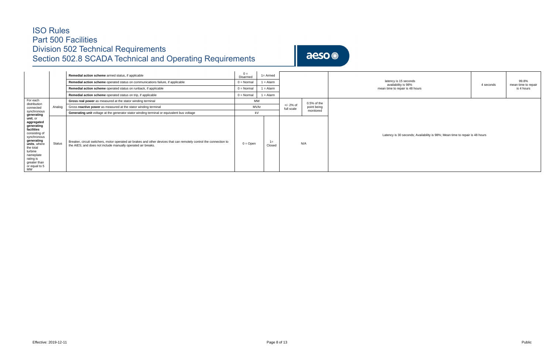aeso<sup>®</sup>

|                                                                                                                                                                                                           |               | Remedial action scheme armed status, if applicable                                                                                                                                  | $0 =$<br>Disarmed   | $1 =$ Armed     |  |                         |               |                                                                             |                              |  |  |  |
|-----------------------------------------------------------------------------------------------------------------------------------------------------------------------------------------------------------|---------------|-------------------------------------------------------------------------------------------------------------------------------------------------------------------------------------|---------------------|-----------------|--|-------------------------|---------------|-----------------------------------------------------------------------------|------------------------------|--|--|--|
|                                                                                                                                                                                                           |               | Remedial action scheme operated status on communications failure, if applicable                                                                                                     | $0 = \text{Normal}$ | $1 =$ Alarm     |  |                         |               | latency is 15 seconds<br>availability is 98%<br>4 seconds                   | 99.8%<br>mean time to repair |  |  |  |
|                                                                                                                                                                                                           |               | Remedial action scheme operated status on runback, if applicable                                                                                                                    | $0 = \text{Normal}$ | $1 =$ Alarm     |  |                         |               | mean time to repair is 48 hours                                             | is 4 hours                   |  |  |  |
|                                                                                                                                                                                                           |               | Remedial action scheme operated status on trip, if applicable                                                                                                                       | $0 = \text{Normal}$ | $1 =$ Alarm     |  |                         |               |                                                                             |                              |  |  |  |
| For each<br>distribution                                                                                                                                                                                  |               | Gross real power as measured at the stator winding terminal                                                                                                                         | MW                  |                 |  |                         | $0.5%$ of the |                                                                             |                              |  |  |  |
| connected                                                                                                                                                                                                 | Analog        | Gross reactive power as measured at the stator winding terminal                                                                                                                     | MVAr                |                 |  | +/- 2% of<br>full scale | point being   |                                                                             |                              |  |  |  |
| synchronous<br>generating                                                                                                                                                                                 |               | Generating unit voltage at the generator stator winding terminal or equivalent bus voltage                                                                                          |                     | kV              |  |                         | monitored     |                                                                             |                              |  |  |  |
| unit, or<br>aggregated<br>generating<br>facilities<br>consisting of<br>synchronous<br>generating<br>units, where<br>the total<br>turbine<br>nameplate<br>rating is<br>greater than<br>or equal to 5<br>MW | <b>Status</b> | Breaker, circuit switchers, motor operated air brakes and other devices that can remotely control the connection to<br>the AIES; and does not include manually operated air breaks. | $0 =$ Open          | $1 =$<br>Closed |  |                         | N/A           | Latency is 30 seconds; Availability is 98%; Mean time to repair is 48 hours |                              |  |  |  |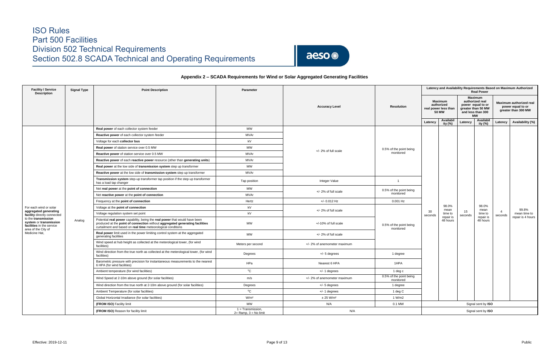

### **Appendix 2 – SCADA Requirements for Wind or Solar Aggregated Generating Facilities**

| <b>Facility / Service</b><br><b>Description</b>                                                   | <b>Signal Type</b> | <b>Point Description</b>                                                                                                                                                                                                   | Parameter                                       |                              |                                      |                                                                      | Latency and Availability Requirements Based on Maximum Authorized<br><b>Real Power</b> |                                                                                                                |                        |                                                                     |                   |  |  |
|---------------------------------------------------------------------------------------------------|--------------------|----------------------------------------------------------------------------------------------------------------------------------------------------------------------------------------------------------------------------|-------------------------------------------------|------------------------------|--------------------------------------|----------------------------------------------------------------------|----------------------------------------------------------------------------------------|----------------------------------------------------------------------------------------------------------------|------------------------|---------------------------------------------------------------------|-------------------|--|--|
|                                                                                                   |                    |                                                                                                                                                                                                                            |                                                 | <b>Accuracy Level</b>        | <b>Resolution</b>                    | <b>Maximum</b><br>authorized<br>real power less than<br><b>50 MW</b> |                                                                                        | <b>Maximum</b><br>authorized real<br>power equal to or<br>greater than 50 MW<br>and less than 300<br><b>MW</b> |                        | Maximum authorized real<br>power equal to or<br>greater than 300 MW |                   |  |  |
|                                                                                                   |                    |                                                                                                                                                                                                                            |                                                 |                              |                                      | Latency                                                              | Availabil<br>ity $(%)$                                                                 | Latency                                                                                                        | Availabil<br>ity $(%)$ | Latency                                                             | Availability (%)  |  |  |
|                                                                                                   |                    | Real power of each collector system feeder                                                                                                                                                                                 | MW                                              |                              |                                      |                                                                      |                                                                                        |                                                                                                                |                        |                                                                     |                   |  |  |
|                                                                                                   |                    | Reactive power of each collector system feeder                                                                                                                                                                             | MVAr                                            |                              |                                      |                                                                      |                                                                                        |                                                                                                                |                        |                                                                     |                   |  |  |
|                                                                                                   |                    | Voltage for each collector bus                                                                                                                                                                                             | kV                                              |                              |                                      |                                                                      |                                                                                        |                                                                                                                |                        |                                                                     |                   |  |  |
|                                                                                                   |                    | Real power of station service over 0.5 MW                                                                                                                                                                                  | MW                                              |                              | 0.5% of the point being              |                                                                      |                                                                                        |                                                                                                                |                        |                                                                     |                   |  |  |
|                                                                                                   |                    | Reactive power of station service over 0.5 MW                                                                                                                                                                              | MVAr                                            | $+/- 2\%$ of full scale      | monitored                            |                                                                      |                                                                                        |                                                                                                                |                        |                                                                     |                   |  |  |
|                                                                                                   |                    | Reactive power of each reactive power resource (other than generating units)                                                                                                                                               | MVAr                                            |                              |                                      |                                                                      |                                                                                        |                                                                                                                |                        |                                                                     |                   |  |  |
|                                                                                                   |                    | Real power at the low side of transmission system step up transformer                                                                                                                                                      | MW                                              |                              |                                      |                                                                      |                                                                                        |                                                                                                                |                        |                                                                     |                   |  |  |
|                                                                                                   |                    | Reactive power at the low side of transmission system step up transformer                                                                                                                                                  | <b>MVAr</b>                                     |                              |                                      |                                                                      |                                                                                        |                                                                                                                |                        |                                                                     |                   |  |  |
|                                                                                                   |                    | Transmission system step-up transformer tap position if the step up transformer<br>has a load tap changer                                                                                                                  | Tap position                                    | Integer Value                | $\overline{1}$                       |                                                                      |                                                                                        |                                                                                                                |                        |                                                                     |                   |  |  |
|                                                                                                   |                    | Net real power at the point of connection                                                                                                                                                                                  | MW                                              |                              | 0.5% of the point being              |                                                                      |                                                                                        |                                                                                                                |                        |                                                                     |                   |  |  |
|                                                                                                   |                    | Net reactive power at the point of connection                                                                                                                                                                              | MVAr                                            | $+/- 2\%$ of full scale      | monitored                            |                                                                      |                                                                                        |                                                                                                                |                        |                                                                     |                   |  |  |
|                                                                                                   |                    | Frequency at the point of connection                                                                                                                                                                                       | Hertz                                           | $+/- 0.012$ Hz               | $0.001$ Hz                           |                                                                      |                                                                                        |                                                                                                                |                        |                                                                     |                   |  |  |
| For each wind or solar                                                                            |                    | Voltage at the point of connection                                                                                                                                                                                         | kV                                              | +/- 2% of full scale         |                                      |                                                                      | 98.0%<br>mean                                                                          | 15<br>seconds                                                                                                  | 98.0%<br>mean          |                                                                     | 99.8%             |  |  |
| aggregated generating<br>facility directly connected                                              |                    | Voltage regulation system set point                                                                                                                                                                                        | kV                                              |                              |                                      | 30<br>seconds                                                        | time to                                                                                |                                                                                                                | time to                | $\boldsymbol{\Delta}$<br>seconds                                    | mean time to      |  |  |
| to the transmission<br>system or transmission<br>facilities in the service<br>area of the City of | Analog             | Potential real power capability, being the real power that would have been<br>produced at the point of connection without aggregated generating facilities<br>curtailment and based on real time meteorological conditions | MW                                              | +/-10% of full scale         | 0.5% of the point being<br>monitored |                                                                      | repair is<br>48 hours                                                                  |                                                                                                                | repair is<br>48 hours  |                                                                     | repair is 4 hours |  |  |
| Medicine Hat,                                                                                     |                    | <b>Real power limit used in the power limiting control system at the aggregated</b><br>generating facilities                                                                                                               | <b>MW</b>                                       | $+/- 2\%$ of full scale      |                                      |                                                                      |                                                                                        |                                                                                                                |                        |                                                                     |                   |  |  |
|                                                                                                   |                    | Wind speed at hub height as collected at the meterological tower, (for wind<br>facilities)                                                                                                                                 | Meters per second                               | +/- 2% of anemometer maximum |                                      |                                                                      |                                                                                        |                                                                                                                |                        |                                                                     |                   |  |  |
|                                                                                                   |                    | Wind direction from the true north as collected at the meterological tower, (for wind<br>facilities)                                                                                                                       | Degrees                                         | $+/- 5$ degrees              | 1 degree                             |                                                                      |                                                                                        |                                                                                                                |                        |                                                                     |                   |  |  |
|                                                                                                   |                    | Barometric pressure with precision for instantaneous measurements to the nearest<br>6 HPA (for wind facilities)                                                                                                            | HPa                                             | Nearest 6 HPA                | 1HPA                                 |                                                                      |                                                                                        |                                                                                                                |                        |                                                                     |                   |  |  |
|                                                                                                   |                    | Ambient temperature (for wind facilities)                                                                                                                                                                                  | $^{\circ}$ C                                    | $+/- 1$ degrees              | 1 deg c                              |                                                                      |                                                                                        |                                                                                                                |                        |                                                                     |                   |  |  |
|                                                                                                   |                    | Wind Speed at 2-10m above ground (for solar facilities)                                                                                                                                                                    | m/s                                             | +/- 2% of anemometer maximum | 0.5% of the point being<br>monitored |                                                                      |                                                                                        |                                                                                                                |                        |                                                                     |                   |  |  |
|                                                                                                   |                    | Wind direction from the true north at 2-10m above ground (for solar facilities)                                                                                                                                            | Degrees                                         | $+/- 5$ degrees              | 1 degree                             |                                                                      |                                                                                        |                                                                                                                |                        |                                                                     |                   |  |  |
|                                                                                                   |                    | Ambient Temperature (for solar facilities)                                                                                                                                                                                 | ${}^{0}C$                                       | $+/- 1$ degrees              | 1 deg C                              |                                                                      |                                                                                        |                                                                                                                |                        |                                                                     |                   |  |  |
|                                                                                                   |                    | Global Horizontal Irradiance (for solar facilities)                                                                                                                                                                        | W/m <sup>2</sup>                                | ± 25 W/m <sup>2</sup>        | 1 W/m2                               |                                                                      |                                                                                        |                                                                                                                |                        |                                                                     |                   |  |  |
|                                                                                                   |                    | (FROM ISO) Facility limit                                                                                                                                                                                                  | MW                                              | N/A                          | 0.1 MW                               |                                                                      |                                                                                        |                                                                                                                | Signal sent by ISO     |                                                                     |                   |  |  |
|                                                                                                   |                    | (FROM ISO) Reason for facility limit                                                                                                                                                                                       | $1 =$ Transmission,<br>$2=$ Ramp, $3=$ No limit | N/A                          |                                      |                                                                      |                                                                                        |                                                                                                                | Signal sent by ISO     |                                                                     |                   |  |  |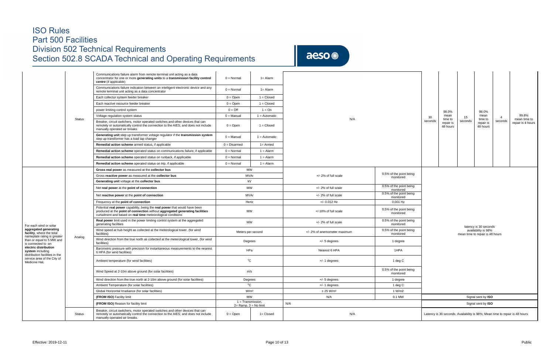aeso<sup>®</sup>

|                                                                                   |               | Communications failure alarm from remote terminal unit acting as a data<br>concentrator for one or more generating units to a transmission facility control<br>centre (if applicable)                                      | $0 = \text{Normal}$                                    | $1 =$ Alarm     |                              |                                                  |         |                                  |                                                  |                                  |  |
|-----------------------------------------------------------------------------------|---------------|----------------------------------------------------------------------------------------------------------------------------------------------------------------------------------------------------------------------------|--------------------------------------------------------|-----------------|------------------------------|--------------------------------------------------|---------|----------------------------------|--------------------------------------------------|----------------------------------|--|
|                                                                                   |               | Communications failure indication between an intelligent electronic device and any<br>remote terminal unit acting as a data concentrator                                                                                   | $0 = \text{Normal}$                                    | $1 =$ Alarm     |                              |                                                  |         |                                  |                                                  |                                  |  |
|                                                                                   |               | Each collector system feeder breaker                                                                                                                                                                                       | $0 =$ Open                                             | $1 = Closed$    |                              |                                                  |         |                                  |                                                  |                                  |  |
|                                                                                   |               | Each reactive resource feeder breaker                                                                                                                                                                                      | $0 =$ Open                                             | $1 = Closed$    |                              |                                                  |         |                                  |                                                  |                                  |  |
|                                                                                   |               | power limiting control system                                                                                                                                                                                              | $0 = \text{Off}$                                       | $1 = On$        |                              |                                                  |         | 98.0%                            |                                                  | 98.0%                            |  |
|                                                                                   |               | Voltage regulation system status                                                                                                                                                                                           | $0 =$ Manual                                           | $1 =$ Automatic |                              |                                                  | 30      | mean                             | 15                                               | mean                             |  |
|                                                                                   | <b>Status</b> | Breaker, circuit switchers, motor operated switches and other devices that can<br>remotely or automatically control the connection to the AIES; and does not include<br>manually operated air breaks.                      | $0 =$ Open                                             | $1 = Closed$    | N/A                          |                                                  | seconds | time to<br>repair is<br>48 hours | seconds                                          | time to<br>repair is<br>48 hours |  |
|                                                                                   |               | Generating unit step up transformer voltage regulator if the transmission system<br>step up transformer has a load tap changer                                                                                             | $0 =$ Manual                                           | $1 =$ Automatic |                              |                                                  |         |                                  |                                                  |                                  |  |
|                                                                                   |               | Remedial action scheme armed status, if applicable                                                                                                                                                                         | $0 = Disarmed$                                         | $1 =$ Armed     |                              |                                                  |         |                                  |                                                  |                                  |  |
|                                                                                   |               | Remedial action scheme operated status on communications failure, if applicable                                                                                                                                            | $0 = Normal$                                           | $1 =$ Alarm     |                              |                                                  |         |                                  |                                                  |                                  |  |
|                                                                                   |               | Remedial action scheme operated status on runback, if applicable                                                                                                                                                           | $0 = Normal$                                           | $1 =$ Alarm     |                              |                                                  |         |                                  |                                                  |                                  |  |
|                                                                                   |               | Remedial action scheme operated status on trip, if applicable                                                                                                                                                              | $0 = \text{Normal}$                                    | $1 =$ Alarm     |                              |                                                  |         |                                  |                                                  |                                  |  |
|                                                                                   |               | Gross real power as measured at the collector bus                                                                                                                                                                          | MW                                                     |                 |                              |                                                  |         |                                  |                                                  |                                  |  |
|                                                                                   |               | Gross reactive power as measured at the collector bus                                                                                                                                                                      | MVAr                                                   |                 | $+/- 2\%$ of full scale      | 0.5% of the point being<br>monitored             |         |                                  |                                                  |                                  |  |
|                                                                                   |               | Generating unit voltage at the collector bus                                                                                                                                                                               | kV                                                     |                 |                              |                                                  |         |                                  |                                                  |                                  |  |
|                                                                                   |               | Net real power at the point of connection                                                                                                                                                                                  | MW                                                     |                 | +/- 2% of full scale         | 0.5% of the point being<br>monitored             |         |                                  |                                                  |                                  |  |
|                                                                                   |               | Net reactive power at the point of connection                                                                                                                                                                              | MVAr                                                   |                 | +/- 2% of full scale         | 0.5% of the point being<br>monitored             |         |                                  |                                                  |                                  |  |
|                                                                                   |               | Frequency at the point of connection                                                                                                                                                                                       | Hertz                                                  |                 | $+/- 0.012$ Hz               | 0.001 Hz                                         |         |                                  |                                                  |                                  |  |
|                                                                                   |               | Potential real power capability, being the real power that would have been<br>produced at the point of connection without aggregated generating facilities<br>curtailment and based on real time meteorological conditions | MW                                                     |                 | +/-10% of full scale         | 0.5% of the point being<br>monitored             |         |                                  |                                                  |                                  |  |
| For each wind or solar                                                            |               | Real power limit used in the power limiting control system at the aggregated<br>generating facilities                                                                                                                      | MW                                                     |                 | +/- 2% of full scale         | 0.5% of the point being<br>monitored             |         |                                  |                                                  | latency is 30 second             |  |
| aggregated generating<br>facility, where the total<br>nameplate rating is greater |               | Wind speed at hub height as collected at the meterological tower, (for wind<br>facilities)                                                                                                                                 | Meters per second                                      |                 | +/- 2% of anemometer maximum | 0.5% of the point being<br>monitored             |         |                                  | availability is 98%<br>mean time to repair is 48 |                                  |  |
| than or equal to 5 MW and<br>is connected to an                                   | Analog        | Wind direction from the true north as collected at the meterological tower, (for wind<br>facilities)                                                                                                                       | Degrees                                                |                 | $+/-$ 5 degrees              | 1 degree                                         |         |                                  |                                                  |                                  |  |
| electric distribution<br>system including<br>distribution facilities in the       |               | Barometric pressure with precision for instantaneous measurements to the nearest<br>6 HPA (for wind facilities)                                                                                                            | HPa                                                    |                 | Nearest 6 HPA                | 1HPA                                             |         |                                  |                                                  |                                  |  |
| service area of the City of<br>Medicine Hat.                                      |               | Ambient temperature (for wind facilities)                                                                                                                                                                                  | $^{\circ}$ C                                           |                 | $+/- 1$ degrees              | 1 deg C                                          |         |                                  |                                                  |                                  |  |
|                                                                                   |               | Wind Speed at 2-10m above ground (for solar facilities)                                                                                                                                                                    | m/s                                                    |                 |                              | 0.5% of the point being<br>monitored             |         |                                  |                                                  |                                  |  |
|                                                                                   |               | Wind direction from the true north at 2-10m above ground (for solar facilities)                                                                                                                                            | Degrees                                                |                 | $+/-$ 5 degrees              | 1 degree                                         |         |                                  |                                                  |                                  |  |
|                                                                                   |               | Ambient Temperature (for solar facilities)                                                                                                                                                                                 |                                                        | $^0C$           | $+/- 1$ degrees              | 1 deg C                                          |         |                                  |                                                  |                                  |  |
|                                                                                   |               | Global Horizontal Irradiance (for solar facilities)                                                                                                                                                                        | W/m <sup>2</sup>                                       |                 | ± 25 W/m <sup>2</sup>        | 1 W/m2                                           |         |                                  |                                                  |                                  |  |
|                                                                                   |               | (FROM ISO) Facility limit                                                                                                                                                                                                  | MW                                                     |                 | N/A                          | 0.1 MW                                           |         |                                  |                                                  | Signal sent by ISO               |  |
|                                                                                   |               | (FROM ISO) Reason for facility limit                                                                                                                                                                                       | $1 = Transmission$ ,                                   |                 | N/A                          |                                                  |         |                                  |                                                  | Signal sent by ISO               |  |
|                                                                                   | Status        | Breaker, circuit switchers, motor operated switches and other devices that can<br>remotely or automatically control the connection to the AIES; and does not include<br>manually operated air breaks.                      | $2=$ Ramp, $3=$ No limit<br>$0 = Open$<br>$1 = Closed$ |                 | N/A                          | Latency is 30 seconds; Availability is 98%; Mean |         |                                  |                                                  |                                  |  |

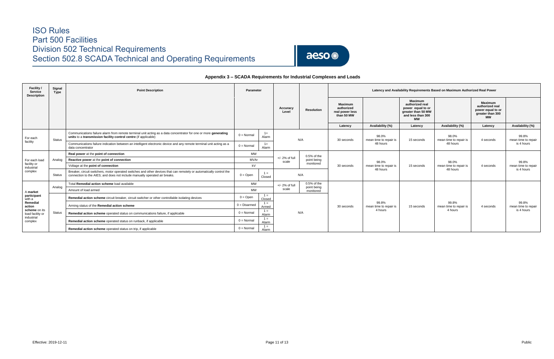

### **Appendix 3 – SCADA Requirements for Industrial Complexes and Loads**

| Facility /<br>Service<br><b>Description</b> | Signal<br>Type | <b>Point Description</b>                                                                                                                                                                           | Parameter           |                 |                           |                              | Latency and Availability Requirements Based on Maximum Authorized Real Power |                                             |                                                                                                                |                                             |                                                                                         |                              |  |  |
|---------------------------------------------|----------------|----------------------------------------------------------------------------------------------------------------------------------------------------------------------------------------------------|---------------------|-----------------|---------------------------|------------------------------|------------------------------------------------------------------------------|---------------------------------------------|----------------------------------------------------------------------------------------------------------------|---------------------------------------------|-----------------------------------------------------------------------------------------|------------------------------|--|--|
|                                             |                |                                                                                                                                                                                                    |                     |                 | Accuracy<br>Level         | <b>Resolution</b>            | <b>Maximum</b><br>authorized<br>real power less<br>than 50 MW                |                                             | <b>Maximum</b><br>authorized real<br>power equal to or<br>greater than 50 MW<br>and less than 300<br><b>MW</b> |                                             | <b>Maximum</b><br>authorized real<br>power equal to or<br>greater than 300<br><b>MW</b> |                              |  |  |
|                                             |                |                                                                                                                                                                                                    |                     |                 |                           |                              | Latency                                                                      | Availability (%)                            | Latency                                                                                                        | Availability (%)                            | Latency                                                                                 | Availability (%)             |  |  |
| For each                                    | Status         | Communications failure alarm from remote terminal unit acting as a data concentrator for one or more generating<br>units to a transmission facility control centre (if applicable)                 | $0 = \text{Norm}$   | $1 =$<br>Alarm  |                           | N/A                          | 30 seconds                                                                   | 98.0%<br>mean time to repair is<br>48 hours | 15 seconds                                                                                                     | 98.0%<br>mean time to repair is<br>48 hours | 4 seconds                                                                               | 99.8%<br>mean time to repair |  |  |
| facility                                    |                | Communications failure indication between an intelligent electronic device and any remote terminal unit acting as a<br>data concentrator                                                           | $0 = \text{Normal}$ | $1 =$<br>Alarm  |                           |                              |                                                                              |                                             |                                                                                                                |                                             |                                                                                         | is 4 hours                   |  |  |
| For each load                               |                | Real power at the point of connection                                                                                                                                                              | MW                  |                 |                           | $0.5%$ of the                |                                                                              |                                             |                                                                                                                |                                             |                                                                                         |                              |  |  |
|                                             | Analog         | Reactive power at the point of connection                                                                                                                                                          | MVAr                |                 | $+/- 2%$ of full<br>scale | point being                  |                                                                              | 98.0%                                       |                                                                                                                | 98.0%                                       |                                                                                         | 99.8%                        |  |  |
| facility or<br>industrial                   |                | Voltage at the point of connection                                                                                                                                                                 |                     | kV              |                           | monitored                    | 30 seconds                                                                   | mean time to repair is<br>48 hours          | 15 seconds                                                                                                     | mean time to repair is<br>48 hours          | 4 seconds                                                                               | mean time to repair          |  |  |
| complex                                     | <b>Status</b>  | Breaker, circuit switchers, motor operated switches and other devices that can remotely or automatically control the<br>connection to the AIES; and does not include manually operated air breaks. | $0 = \text{Open}$   | $1 =$<br>Closed |                           | N/A                          |                                                                              |                                             |                                                                                                                |                                             |                                                                                         | is 4 hours                   |  |  |
|                                             | Analog         | Total Remedial action scheme load available                                                                                                                                                        | MW                  |                 | $+/- 2\%$ of full         | $0.5%$ of the<br>point being |                                                                              |                                             |                                                                                                                |                                             |                                                                                         |                              |  |  |
| A market                                    |                | Amount of load armed                                                                                                                                                                               | MW                  |                 | scale                     | monitored                    |                                                                              |                                             |                                                                                                                |                                             |                                                                                         |                              |  |  |
| participant<br>with a                       |                | Remedial action scheme circuit breaker, circuit switcher or other controllable isolating devices                                                                                                   | $0 = Open$          | $1 =$<br>Closed |                           |                              |                                                                              |                                             |                                                                                                                |                                             |                                                                                         |                              |  |  |
| Remedial<br>action                          |                | Arming status of the Remedial action scheme                                                                                                                                                        | $0 = Disarmed$      | $1 =$<br>Armed  |                           |                              | 30 seconds                                                                   | 99.8%<br>mean time to repair is             | 15 seconds                                                                                                     | 99.8%<br>mean time to repair is             | 4 seconds                                                                               | 99.8%<br>mean time to repair |  |  |
| scheme on its<br>load facility or           | Status         | Remedial action scheme operated status on communications failure, if applicable                                                                                                                    | $0 = \text{Normal}$ | $1 =$<br>Alarm  |                           | N/A                          |                                                                              | 4 hours                                     |                                                                                                                | 4 hours                                     |                                                                                         | is 4 hours                   |  |  |
| industrial<br>complex                       |                | Remedial action scheme operated status on runback, if applicable                                                                                                                                   | $0 = \text{Normal}$ | $1 =$<br>Alarm  |                           |                              |                                                                              |                                             |                                                                                                                |                                             |                                                                                         |                              |  |  |
|                                             |                | Remedial action scheme operated status on trip, if applicable                                                                                                                                      | $0 = \text{Normal}$ | $1 =$<br>Alarm  |                           |                              |                                                                              |                                             |                                                                                                                |                                             |                                                                                         |                              |  |  |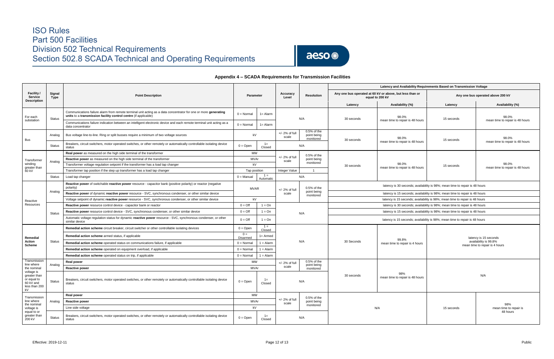

### **Appendix 4 – SCADA Requirements for Transmission Facilities**

| <b>Facility /</b><br><b>Service</b><br><b>Description</b>       | Signal<br>Type | <b>Point Description</b>                                                                                                                                                           | <b>Parameter</b>             |                    | Accuracy<br>Level         | Latency and Availability Requirements Based on Transmission Voltage<br>Any one bus operated at 60 kV or above, but less than or<br><b>Resolution</b><br>equal to 200 kV<br>Availability (%)<br>Latency<br>98.0%<br>N/A<br>30 seconds<br>mean time to repair is 48 hours<br>0.5% of the<br>point being<br>98.0%<br>monitored<br>30 seconds<br>mean time to repair is 48 hours<br>N/A<br>$0.5%$ of the<br>point being<br>monitored<br>98.0%<br>30 seconds<br>mean time to repair is 48 hours<br>$\overline{1}$<br>N/A<br>latency is 30 seconds; availability is 98%; mean time to repair is 48 hours<br>$0.5%$ of the<br>point being<br>latency is 15 seconds; availability is 98%; mean time to repair is 48 hours<br>monitored<br>latency is 15 seconds; availability is 98%; mean time to repair is 48 hours<br>latency is 30 seconds; availability is 98%; mean time to repair is 48 hours<br>latency is 15 seconds; availability is 98%; mean time to repair is 48 hours<br>N/A<br>latency is 15 seconds; availability is 98%; mean time to repair is 48 hours<br>99.8%<br>N/A<br>30 Seconds<br>mean time to repair is 4 hours<br>$0.5%$ of the<br>point being<br>monitored<br>98%<br>30 seconds<br>mean time to repair is 48 hours<br>N/A<br>$0.5%$ of the<br>point being<br>monitored<br>N/A<br>N/A |  | Any one bus operated above 200 kV              |                                          |  |
|-----------------------------------------------------------------|----------------|------------------------------------------------------------------------------------------------------------------------------------------------------------------------------------|------------------------------|--------------------|---------------------------|----------------------------------------------------------------------------------------------------------------------------------------------------------------------------------------------------------------------------------------------------------------------------------------------------------------------------------------------------------------------------------------------------------------------------------------------------------------------------------------------------------------------------------------------------------------------------------------------------------------------------------------------------------------------------------------------------------------------------------------------------------------------------------------------------------------------------------------------------------------------------------------------------------------------------------------------------------------------------------------------------------------------------------------------------------------------------------------------------------------------------------------------------------------------------------------------------------------------------------------------------------------------------------------------------------|--|------------------------------------------------|------------------------------------------|--|
|                                                                 |                |                                                                                                                                                                                    |                              |                    |                           |                                                                                                                                                                                                                                                                                                                                                                                                                                                                                                                                                                                                                                                                                                                                                                                                                                                                                                                                                                                                                                                                                                                                                                                                                                                                                                          |  | Latency                                        | Availability (%)                         |  |
| For each                                                        | <b>Status</b>  | Communications failure alarm from remote terminal unit acting as a data concentrator for one or more generating<br>units to a transmission facility control centre (if applicable) | $0 = \text{Normal}$          | $1 =$ Alarm        |                           |                                                                                                                                                                                                                                                                                                                                                                                                                                                                                                                                                                                                                                                                                                                                                                                                                                                                                                                                                                                                                                                                                                                                                                                                                                                                                                          |  | 15 seconds                                     | 98.0%                                    |  |
| substation                                                      |                | Communications failure indication between an intelligent electronic device and each remote terminal unit acting as a<br>data concentrator                                          | $0 = Normal$                 | $1 =$ Alarm        |                           |                                                                                                                                                                                                                                                                                                                                                                                                                                                                                                                                                                                                                                                                                                                                                                                                                                                                                                                                                                                                                                                                                                                                                                                                                                                                                                          |  |                                                | mean time to repair is 48 hours          |  |
| Bus                                                             | Analog         | Bus voltage line-to-line. Ring or split busses require a minimum of two voltage sources                                                                                            | kV                           |                    | $+/- 2%$ of full<br>scale |                                                                                                                                                                                                                                                                                                                                                                                                                                                                                                                                                                                                                                                                                                                                                                                                                                                                                                                                                                                                                                                                                                                                                                                                                                                                                                          |  | 15 seconds                                     | 98.0%                                    |  |
|                                                                 | <b>Status</b>  | Breakers, circuit switchers, motor operated switches, or other remotely or automatically controllable isolating device<br>status                                                   | $0 =$ Open                   | $1 =$<br>Closed    |                           |                                                                                                                                                                                                                                                                                                                                                                                                                                                                                                                                                                                                                                                                                                                                                                                                                                                                                                                                                                                                                                                                                                                                                                                                                                                                                                          |  |                                                | mean time to repair is 48 hours          |  |
|                                                                 |                | Real power as measured on the high side terminal of the transformer                                                                                                                | <b>MW</b>                    |                    |                           |                                                                                                                                                                                                                                                                                                                                                                                                                                                                                                                                                                                                                                                                                                                                                                                                                                                                                                                                                                                                                                                                                                                                                                                                                                                                                                          |  |                                                |                                          |  |
| Transformer                                                     | Analog         | <b>Reactive power</b> as measured on the high side terminal of the transformer                                                                                                     |                              | MVAr               | +/- 2% of full<br>scale   |                                                                                                                                                                                                                                                                                                                                                                                                                                                                                                                                                                                                                                                                                                                                                                                                                                                                                                                                                                                                                                                                                                                                                                                                                                                                                                          |  |                                                |                                          |  |
| winding<br>greater than                                         |                | Transformer voltage regulation setpoint if the transformer has a load tap changer                                                                                                  | kV                           |                    |                           |                                                                                                                                                                                                                                                                                                                                                                                                                                                                                                                                                                                                                                                                                                                                                                                                                                                                                                                                                                                                                                                                                                                                                                                                                                                                                                          |  | 15 seconds                                     | 98.0%<br>mean time to repair is 48 hours |  |
| 60 kV                                                           |                | Transformer tap position if the step up transformer has a load tap changer                                                                                                         | Tap position                 |                    | Integer Value             |                                                                                                                                                                                                                                                                                                                                                                                                                                                                                                                                                                                                                                                                                                                                                                                                                                                                                                                                                                                                                                                                                                                                                                                                                                                                                                          |  |                                                |                                          |  |
|                                                                 | Status         | Load tap changer                                                                                                                                                                   | $0 =$ Manual                 | $1 =$<br>Automatic |                           |                                                                                                                                                                                                                                                                                                                                                                                                                                                                                                                                                                                                                                                                                                                                                                                                                                                                                                                                                                                                                                                                                                                                                                                                                                                                                                          |  |                                                |                                          |  |
|                                                                 |                | Reactive power of switchable reactive power resource - capacitor bank (positive polarity) or reactor (negative<br>polarity)                                                        | MVAR                         |                    | $+/- 2%$ of full          |                                                                                                                                                                                                                                                                                                                                                                                                                                                                                                                                                                                                                                                                                                                                                                                                                                                                                                                                                                                                                                                                                                                                                                                                                                                                                                          |  |                                                |                                          |  |
|                                                                 | Analog         | Reactive power of dynamic reactive power resource - SVC, synchronous condenser, or other similar device                                                                            |                              |                    | scale                     |                                                                                                                                                                                                                                                                                                                                                                                                                                                                                                                                                                                                                                                                                                                                                                                                                                                                                                                                                                                                                                                                                                                                                                                                                                                                                                          |  |                                                |                                          |  |
| Reactive                                                        |                | Voltage setpoint of dynamic reactive power resource - SVC, synchronous condenser, or other similar device                                                                          |                              | kV                 |                           |                                                                                                                                                                                                                                                                                                                                                                                                                                                                                                                                                                                                                                                                                                                                                                                                                                                                                                                                                                                                                                                                                                                                                                                                                                                                                                          |  |                                                |                                          |  |
| Resources                                                       |                | Reactive power resource control device - capacitor bank or reactor                                                                                                                 | $0 = \text{Off}$             | $1 = On$           |                           |                                                                                                                                                                                                                                                                                                                                                                                                                                                                                                                                                                                                                                                                                                                                                                                                                                                                                                                                                                                                                                                                                                                                                                                                                                                                                                          |  |                                                |                                          |  |
|                                                                 | <b>Status</b>  | Reactive power resource control device - SVC, synchronous condenser, or other similar device                                                                                       | $1 = On$<br>$0 = \text{Off}$ |                    |                           |                                                                                                                                                                                                                                                                                                                                                                                                                                                                                                                                                                                                                                                                                                                                                                                                                                                                                                                                                                                                                                                                                                                                                                                                                                                                                                          |  |                                                |                                          |  |
|                                                                 |                | Automatic voltage regulation status for dynamic reactive power resource - SVC, synchronous condenser, or other<br>similar device                                                   | $0 = \text{Off}$             | $1 = On$           |                           |                                                                                                                                                                                                                                                                                                                                                                                                                                                                                                                                                                                                                                                                                                                                                                                                                                                                                                                                                                                                                                                                                                                                                                                                                                                                                                          |  |                                                |                                          |  |
|                                                                 |                | Remedial action scheme circuit breaker, circuit switcher or other controllable isolating devices                                                                                   | $0 = Open$                   | $1 =$<br>Closed    |                           |                                                                                                                                                                                                                                                                                                                                                                                                                                                                                                                                                                                                                                                                                                                                                                                                                                                                                                                                                                                                                                                                                                                                                                                                                                                                                                          |  |                                                |                                          |  |
| Remedial<br>Action                                              | Status         | Remedial action scheme armed status, if applicable                                                                                                                                 | $0 =$<br>Disarmed            | $1 =$ Armed        |                           |                                                                                                                                                                                                                                                                                                                                                                                                                                                                                                                                                                                                                                                                                                                                                                                                                                                                                                                                                                                                                                                                                                                                                                                                                                                                                                          |  | latency is 15 seconds<br>availability is 99.8% |                                          |  |
| <b>Scheme</b>                                                   |                | Remedial action scheme operated status on communications failure, if applicable                                                                                                    | $0 = \text{Norm}$            | $1 =$ Alarm        |                           |                                                                                                                                                                                                                                                                                                                                                                                                                                                                                                                                                                                                                                                                                                                                                                                                                                                                                                                                                                                                                                                                                                                                                                                                                                                                                                          |  |                                                | mean time to repair is 4 hours           |  |
|                                                                 |                | Remedial action scheme operated on equipment overload, if applicable                                                                                                               | $0 = \text{Normal}$          | $1 =$ Alarm        |                           |                                                                                                                                                                                                                                                                                                                                                                                                                                                                                                                                                                                                                                                                                                                                                                                                                                                                                                                                                                                                                                                                                                                                                                                                                                                                                                          |  |                                                |                                          |  |
|                                                                 |                | Remedial action scheme operated status on trip, if applicable                                                                                                                      | $0 = Normal$                 | $1 =$ Alarm        |                           |                                                                                                                                                                                                                                                                                                                                                                                                                                                                                                                                                                                                                                                                                                                                                                                                                                                                                                                                                                                                                                                                                                                                                                                                                                                                                                          |  |                                                |                                          |  |
| Transmission<br>line where                                      | Analog         | <b>Real power</b>                                                                                                                                                                  | <b>MW</b>                    |                    | $+/- 2%$ of full          |                                                                                                                                                                                                                                                                                                                                                                                                                                                                                                                                                                                                                                                                                                                                                                                                                                                                                                                                                                                                                                                                                                                                                                                                                                                                                                          |  |                                                |                                          |  |
| the nominal<br>voltage is                                       |                | <b>Reactive power</b>                                                                                                                                                              |                              | MVAr               | scale                     |                                                                                                                                                                                                                                                                                                                                                                                                                                                                                                                                                                                                                                                                                                                                                                                                                                                                                                                                                                                                                                                                                                                                                                                                                                                                                                          |  |                                                |                                          |  |
| greater than<br>or equal to<br>60 kV and<br>less than 200<br>kV | Status         | Breakers, circuit switchers, motor operated switches, or other remotely or automatically controllable isolating device<br>status                                                   | $0 = Open$                   | $1 =$<br>Closed    |                           |                                                                                                                                                                                                                                                                                                                                                                                                                                                                                                                                                                                                                                                                                                                                                                                                                                                                                                                                                                                                                                                                                                                                                                                                                                                                                                          |  | N/A                                            |                                          |  |
| Transmission                                                    |                | <b>Real power</b>                                                                                                                                                                  | MW                           |                    |                           |                                                                                                                                                                                                                                                                                                                                                                                                                                                                                                                                                                                                                                                                                                                                                                                                                                                                                                                                                                                                                                                                                                                                                                                                                                                                                                          |  |                                                |                                          |  |
| line where                                                      | Analog         | <b>Reactive power</b>                                                                                                                                                              |                              | MVAr               | +/- 2% of full<br>scale   |                                                                                                                                                                                                                                                                                                                                                                                                                                                                                                                                                                                                                                                                                                                                                                                                                                                                                                                                                                                                                                                                                                                                                                                                                                                                                                          |  |                                                |                                          |  |
| the nominal<br>voltage is                                       |                | Line side voltage                                                                                                                                                                  | kV                           |                    |                           |                                                                                                                                                                                                                                                                                                                                                                                                                                                                                                                                                                                                                                                                                                                                                                                                                                                                                                                                                                                                                                                                                                                                                                                                                                                                                                          |  | 15 seconds                                     | 98%<br>mean time to repair is            |  |
| equal to or<br>greater than<br>200 kV                           | Status         | Breakers, circuit switchers, motor operated switches, or other remotely or automatically controllable isolating device<br>status                                                   | $0 = \text{Open}$            | $1 =$<br>Closed    |                           |                                                                                                                                                                                                                                                                                                                                                                                                                                                                                                                                                                                                                                                                                                                                                                                                                                                                                                                                                                                                                                                                                                                                                                                                                                                                                                          |  |                                                | 48 hours                                 |  |